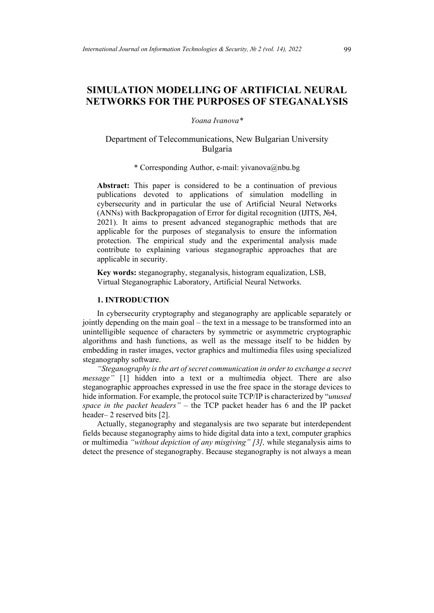# **SIMULATION MODELLING OF ARTIFICIAL NEURAL NETWORKS FOR THE PURPOSES OF STEGANALYSIS**

#### *Yoana Ivanova\**

# Department of Telecommunications, New Bulgarian University Bulgaria

### \* Corresponding Author, e-mail: yivanova@nbu.bg

**Abstract:** This paper is considered to be a continuation of previous publications devoted to applications of simulation modelling in cybersecurity and in particular the use of Artificial Neural Networks (ANNs) with Backpropagation of Error for digital recognition (IJITS,  $N<sub>2</sub>4$ , 2021). It aims to present advanced steganographic methods that are applicable for the purposes of steganalysis to ensure the information protection. The empirical study and the experimental analysis made contribute to explaining various steganographic approaches that are applicable in security.

**Key words:** steganography, steganalysis, histogram equalization, LSB, Virtual Steganographic Laboratory, Artificial Neural Networks.

### **1. INTRODUCTION**

In cybersecurity cryptography and steganography are applicable separately or jointly depending on the main goal – the text in a message to be transformed into an unintelligible sequence of characters by symmetric or asymmetric cryptographic algorithms and hash functions, as well as the message itself to be hidden by embedding in raster images, vector graphics and multimedia files using specialized steganography software.

*"Steganography is the art of secret communication in order to exchange a secret message"* [1] hidden into a text or a multimedia object. There are also steganographic approaches expressed in use the free space in the storage devices to hide information. For example, the protocol suite TCP/IP is characterized by "*unused space in the packet headers"* – the TCP packet header has 6 and the IP packet header– 2 reserved bits [2].

Actually, steganography and steganalysis are two separate but interdependent fields because steganography aims to hide digital data into a text, computer graphics or multimedia *"without depiction of any misgiving" [3],* while steganalysis aims to detect the presence of steganography. Because steganography is not always a mean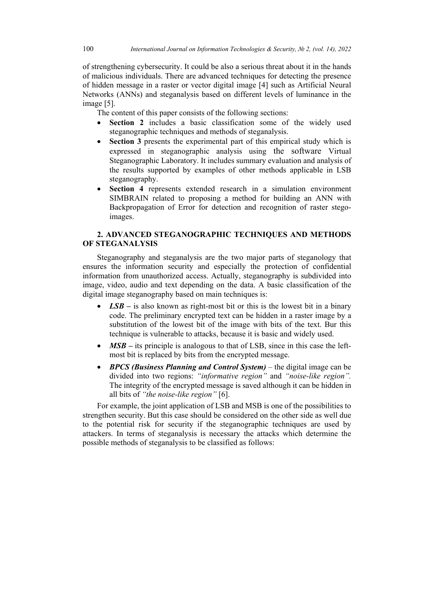of strengthening cybersecurity. It could be also a serious threat about it in the hands of malicious individuals. There are advanced techniques for detecting the presence of hidden message in a raster or vector digital image [4] such as Artificial Neural Networks (ANNs) and steganalysis based on different levels of luminance in the image [5].

The content of this paper consists of the following sections:

- **Section 2** includes a basic classification some of the widely used steganographic techniques and methods of steganalysis.
- **Section 3** presents the experimental part of this empirical study which is expressed in steganographic analysis using the software Virtual Steganographic Laboratory. It includes summary evaluation and analysis of the results supported by examples of other methods applicable in LSB steganography.
- **Section 4** represents extended research in a simulation environment SIMBRAIN related to proposing a method for building an ANN with Backpropagation of Error for detection and recognition of raster stegoimages.

# **2. ADVANCED STEGANOGRAPHIC TECHNIQUES AND METHODS OF STEGANALYSIS**

Steganography and steganalysis are the two major parts of steganology that ensures the information security and especially the protection of confidential information from unauthorized access. Actually, steganography is subdivided into image, video, audio and text depending on the data. A basic classification of the digital image steganography based on main techniques is:

- *LSB* is also known as right-most bit or this is the lowest bit in a binary code. The preliminary encrypted text can be hidden in a raster image by a substitution of the lowest bit of the image with bits of the text. Bur this technique is vulnerable to attacks, because it is basic and widely used.
- *MSB* its principle is analogous to that of LSB, since in this case the leftmost bit is replaced by bits from the encrypted message.
- *BPCS (Business Planning and Control System)* the digital image can be divided into two regions: *"informative region"* and *"noise-like region".* The integrity of the encrypted message is saved although it can be hidden in all bits of *"the noise-like region"* [6].

For example, the joint application of LSB and MSB is one of the possibilities to strengthen security. But this case should be considered on the other side as well due to the potential risk for security if the steganographic techniques are used by attackers. In terms of steganalysis is necessary the attacks which determine the possible methods of steganalysis to be classified as follows: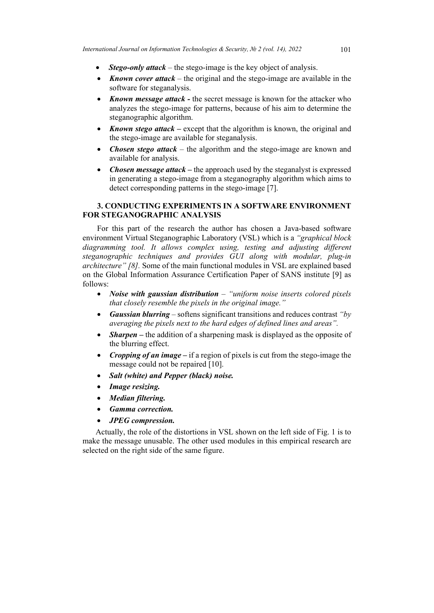- *Stego-only attack* the stego-image is the key object of analysis.
- *Known cover attack* the original and the stego-image are available in the software for steganalysis.
- *Known message attack* the secret message is known for the attacker who analyzes the stego-image for patterns, because of his aim to determine the steganographic algorithm.
- *Known stego attack* except that the algorithm is known, the original and the stego-image are available for steganalysis.
- *Chosen stego attack* the algorithm and the stego-image are known and available for analysis.
- *Chosen message attack* the approach used by the steganalyst is expressed in generating a stego-image from a steganography algorithm which aims to detect corresponding patterns in the stego-image [7].

# **3. CONDUCTING EXPERIMENTS IN A SOFTWARE ENVIRONMENT FOR STEGANOGRAPHIC ANALYSIS**

For this part of the research the author has chosen a Java-based software environment Virtual Steganographic Laboratory (VSL) which is a *"graphical block diagramming tool. It allows complex using, testing and adjusting different steganographic techniques and provides GUI along with modular, plug-in architecture" [8].* Some of the main functional modules in VSL are explained based on the Global Information Assurance Certification Paper of SANS institute [9] as follows:

- *Noise with gaussian distribution – "uniform noise inserts colored pixels that closely resemble the pixels in the original image."*
- *Gaussian blurring*  softens significant transitions and reduces contrast *"by averaging the pixels next to the hard edges of defined lines and areas".*
- *Sharpen* the addition of a sharpening mask is displayed as the opposite of the blurring effect.
- *Cropping of an image –* if a region of pixels is cut from the stego-image the message could not be repaired [10].
- *Salt (white) and Pepper (black) noise.*
- *Image resizing.*
- *Median filtering.*
- *Gamma correction.*
- *JPEG compression.*

Actually, the role of the distortions in VSL shown on the left side of Fig. 1 is to make the message unusable. The other used modules in this empirical research are selected on the right side of the same figure.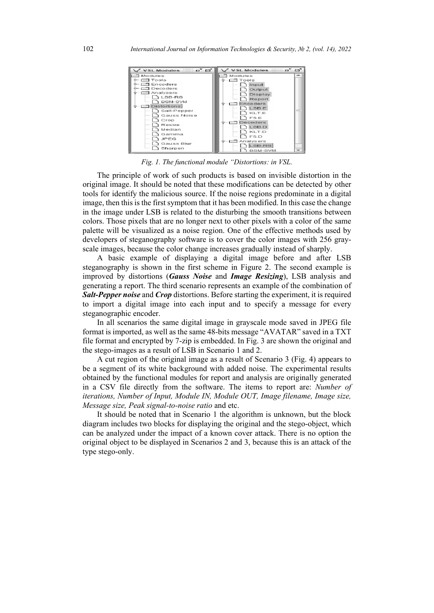

*Fig. 1. The functional module "Distortions: in VSL.*

The principle of work of such products is based on invisible distortion in the original image. It should be noted that these modifications can be detected by other tools for identify the malicious source. If the noise regions predominate in a digital image, then this is the first symptom that it has been modified. In this case the change in the image under LSB is related to the disturbing the smooth transitions between colors. Those pixels that are no longer next to other pixels with a color of the same palette will be visualized as a noise region. One of the effective methods used by developers of steganography software is to cover the color images with 256 grayscale images, because the color change increases gradually instead of sharply.

A basic example of displaying a digital image before and after LSB steganography is shown in the first scheme in Figure 2. The second example is improved by distortions (*Gauss Noise* and *Image Resizing*), LSB analysis and generating a report. The third scenario represents an example of the combination of *Salt-Pepper noise* and *Crop* distortions. Before starting the experiment, it is required to import a digital image into each input and to specify a message for every steganographic encoder.

In all scenarios the same digital image in grayscale mode saved in JPEG file format is imported, as well as the same 48-bits message "AVATAR" saved in a TXT file format and encrypted by 7-zip is embedded. In Fig. 3 are shown the original and the stego-images as a result of LSB in Scenario 1 and 2.

A cut region of the original image as a result of Scenario 3 (Fig. 4) appears to be a segment of its white background with added noise. The experimental results obtained by the functional modules for report and analysis are originally generated in a CSV file directly from the software. The items to report are: *Number of iterations, Number of Input, Module IN, Module OUT, Image filename, Image size, Message size, Peak signal-to-noise ratio* and etc.

It should be noted that in Scenario 1 the algorithm is unknown, but the block diagram includes two blocks for displaying the original and the stego-object, which can be analyzed under the impact of a known cover attack. There is no option the original object to be displayed in Scenarios 2 and 3, because this is an attack of the type stego-only.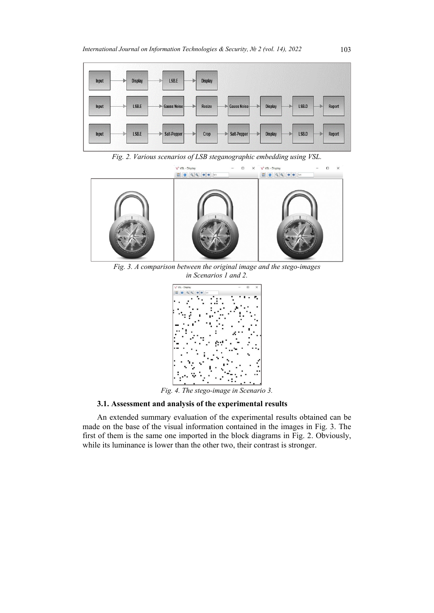

*Fig. 2. Various scenarios of LSB steganographic embedding using VSL.* 



*Fig. 3. A comparison between the original image and the stego-images in Scenarios 1 and 2.*



*Fig. 4. The stego-image in Scenario 3.*

# **3.1. Assessment and analysis of the experimental results**

An extended summary evaluation of the experimental results obtained can be made on the base of the visual information contained in the images in Fig. 3. The first of them is the same one imported in the block diagrams in Fig. 2. Obviously, while its luminance is lower than the other two, their contrast is stronger.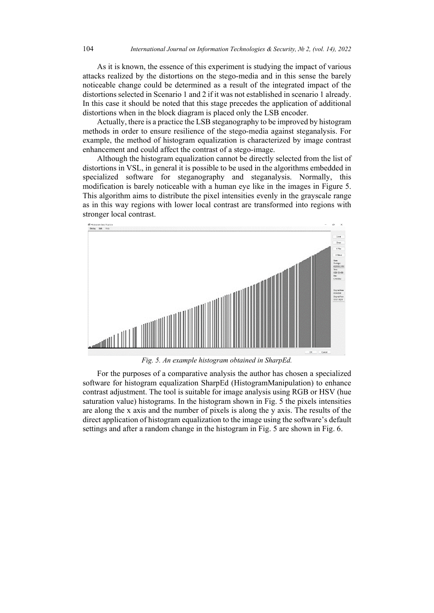As it is known, the essence of this experiment is studying the impact of various attacks realized by the distortions on the stego-media and in this sense the barely noticeable change could be determined as a result of the integrated impact of the distortions selected in Scenario 1 and 2 if it was not established in scenario 1 already. In this case it should be noted that this stage precedes the application of additional distortions when in the block diagram is placed only the LSB encoder.

Actually, there is a practice the LSB steganography to be improved by histogram methods in order to ensure resilience of the stego-media against steganalysis. For example, the method of histogram equalization is characterized by image contrast enhancement and could affect the contrast of a stego-image.

Although the histogram equalization cannot be directly selected from the list of distortions in VSL, in general it is possible to be used in the algorithms embedded in specialized software for steganography and steganalysis. Normally, this modification is barely noticeable with a human eye like in the images in Figure 5. This algorithm aims to distribute the pixel intensities evenly in the grayscale range as in this way regions with lower local contrast are transformed into regions with stronger local contrast.



*Fig. 5. An example histogram obtained in SharpEd.*

For the purposes of a comparative analysis the author has chosen a specialized software for histogram equalization SharpEd (HistogramManipulation) to enhance contrast adjustment. The tool is suitable for image analysis using RGB or HSV (hue saturation value) histograms. In the histogram shown in Fig. 5 the pixels intensities are along the x axis and the number of pixels is along the y axis. The results of the direct application of histogram equalization to the image using the software's default settings and after a random change in the histogram in Fig. 5 are shown in Fig. 6.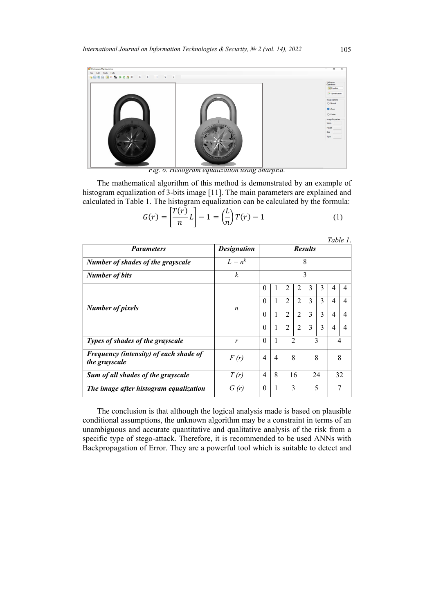

*Fig. 6. Histogram equalization using SharpEd.*

The mathematical algorithm of this method is demonstrated by an example of histogram equalization of 3-bits image [11]. The main parameters are explained and calculated in Table 1. The histogram equalization can be calculated by the formula:

$$
G(r) = \left[\frac{T(r)}{n}L\right] - 1 = \left(\frac{L}{n}\right)T(r) - 1\tag{1}
$$

|                                                         |                    |                |   |                |                     |   |    | rapie r.       |   |
|---------------------------------------------------------|--------------------|----------------|---|----------------|---------------------|---|----|----------------|---|
| <b>Parameters</b>                                       | <b>Designation</b> | <b>Results</b> |   |                |                     |   |    |                |   |
| <b>Number of shades of the grayscale</b>                | $L = n^k$          | 8              |   |                |                     |   |    |                |   |
| <b>Number of bits</b>                                   | $\boldsymbol{k}$   | 3              |   |                |                     |   |    |                |   |
|                                                         | $\boldsymbol{n}$   | $\theta$       |   | 2              | 2                   | 3 | 3  | 4              | 4 |
| <b>Number of pixels</b>                                 |                    | $\theta$       | 1 | $\overline{2}$ | 2                   | 3 | 3  | 4              | 4 |
|                                                         |                    | $\theta$       | 1 | $\overline{2}$ | $\overline{2}$      | 3 | 3  | 4              | 4 |
|                                                         |                    | $\theta$       | 1 | $\overline{2}$ | $\overline{2}$      | 3 | 3  | 4              | 4 |
| Types of shades of the grayscale                        | r                  | $\theta$       | 1 |                | 3<br>$\overline{2}$ |   |    | $\overline{4}$ |   |
| Frequency (intensity) of each shade of<br>the grayscale | F(r)               | $\overline{4}$ | 4 | 8              |                     | 8 |    | 8              |   |
| Sum of all shades of the grayscale                      | T(r)               | 4              | 8 |                | 16                  |   | 24 | 32             |   |
| The image after histogram equalization                  | G(r)               | $\theta$       | 1 | 3<br>5         |                     |   | 7  |                |   |

The conclusion is that although the logical analysis made is based on plausible conditional assumptions, the unknown algorithm may be a constraint in terms of an unambiguous and accurate quantitative and qualitative analysis of the risk from a specific type of stego-attack. Therefore, it is recommended to be used ANNs with Backpropagation of Error. They are a powerful tool which is suitable to detect and

*Table 1*.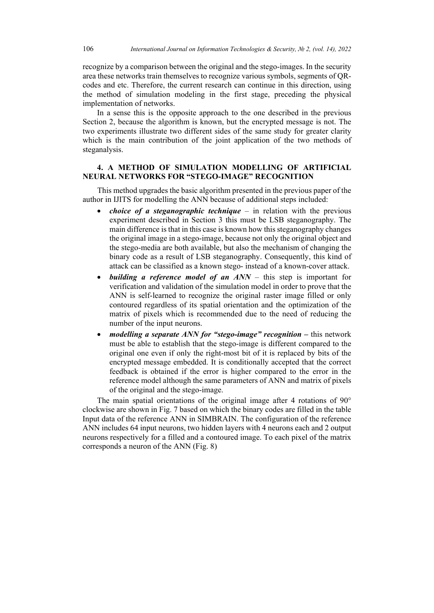recognize by a comparison between the original and the stego-images. In the security area these networks train themselves to recognize various symbols, segments of QRcodes and etc. Therefore, the current research can continue in this direction, using the method of simulation modeling in the first stage, preceding the physical implementation of networks.

In a sense this is the opposite approach to the one described in the previous Section 2, because the algorithm is known, but the encrypted message is not. Тhe two experiments illustrate two different sides of the same study for greater clarity which is the main contribution of the joint application of the two methods of steganalysis.

### **4. A METHOD OF SIMULATION MODELLING OF ARTIFICIAL NEURAL NETWORKS FOR "STEGO-IMAGE" RECOGNITION**

This method upgrades the basic algorithm presented in the previous paper of the author in IJITS for modelling the ANN because of additional steps included:

- *choice of а steganographic technique* in relation with the previous experiment described in Section 3 this must be LSB steganography. The main difference is that in this case is known how this steganography changes the original image in a stego-image, because not only the original object and the stego-media are both available, but also the mechanism of changing the binary code as a result of LSB steganography. Consequently, this kind of attack can be classified as a known stego- instead of a known-cover attack.
- *building a reference model of an ANN*  this step is important for verification and validation of the simulation model in order to prove that the ANN is self-learned to recognize the original raster image filled or only contoured regardless of its spatial orientation and the optimization of the matrix of pixels which is recommended due to the need of reducing the number of the input neurons.
- *modelling a separate ANN for "stego-image" recognition –* this network must be able to establish that the stego-image is different compared to the original one even if only the right-most bit of it is replaced by bits of the encrypted message embedded. It is conditionally accepted that the correct feedback is obtained if the error is higher compared to the error in the reference model although the same parameters of ANN and matrix of pixels of the original and the stego-image.

The main spatial orientations of the original image after 4 rotations of 90° clockwise are shown in Fig. 7 based on which the binary codes are filled in the table Input data of the reference ANN in SIMBRAIN. The configuration of the reference ANN includes 64 input neurons, two hidden layers with 4 neurons each and 2 output neurons respectively for a filled and a contoured image. Тo each pixel of the matrix corresponds a neuron of the ANN (Fig. 8)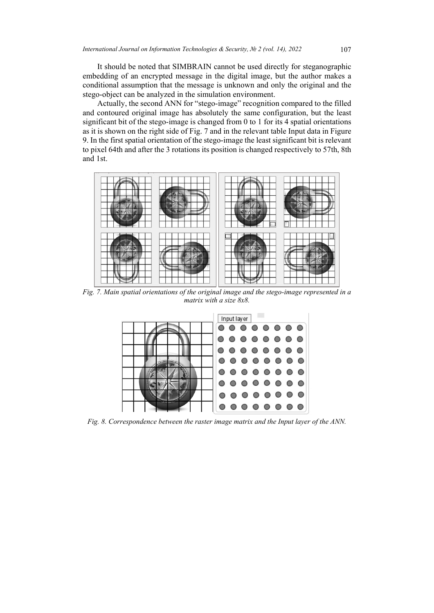It should be noted that SIMBRAIN cannot be used directly for steganographic embedding of an encrypted message in the digital image, but the author makes a conditional assumption that the message is unknown and only the original and the stego-object can be analyzed in the simulation environment.

Actually, the second ANN for "stego-image" recognition compared to the filled and contoured original image has absolutely the same configuration, but the least significant bit of the stego-image is changed from 0 to 1 for its 4 spatial orientations as it is shown on the right side of Fig. 7 and in the relevant table Input data in Figure 9. In the first spatial orientation of the stego-image the least significant bit is relevant to pixel 64th and after the 3 rotations its position is changed respectively to 57th, 8th and 1st.



*Fig. 7. Main spatial orientations of the original image and the stego-image represented in a matrix with a size 8x8.*



*Fig. 8. Correspondence between the raster image matrix and the Input layer of the ANN.*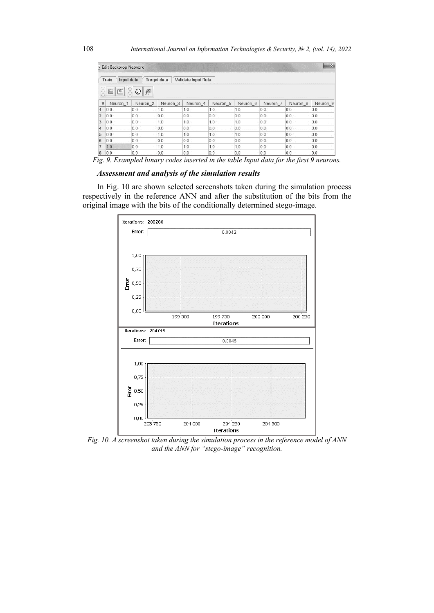|    | <b>Edit Backprop Network</b>       |                     |                     |                     |          |          |                     |          | $-23$               |  |  |  |
|----|------------------------------------|---------------------|---------------------|---------------------|----------|----------|---------------------|----------|---------------------|--|--|--|
|    | Input data<br>Train                |                     | <b>Target data</b>  | Validate Input Data |          |          |                     |          |                     |  |  |  |
|    | ě<br>€<br><b>P</b><br>T<br>$\odot$ |                     |                     |                     |          |          |                     |          |                     |  |  |  |
| #  | Neuron <sub>1</sub>                | Neuron <sub>2</sub> | Neuron <sub>3</sub> | Neuron <sub>4</sub> | Neuron 5 | Neuron 6 | Neuron <sub>7</sub> | Neuron 8 | Neuron <sub>9</sub> |  |  |  |
| 1  | 0.0                                | 0.0                 | 1.0                 | 1.0                 | 1.0      | 1.0      | 0.0                 | 0.0      | 0.0                 |  |  |  |
| l2 | 0.0                                | 0.0                 | 0.0                 | 0.0                 | 0.0      | 0.0      | 0.0                 | 0.0      | 0.0                 |  |  |  |
| 13 | 0.0                                | 0.0                 | 1.0                 | 1.0                 | 1.0      | 1.0      | 0.0                 | 0.0      | 0.0                 |  |  |  |
| 14 | 0.0                                | 0.0                 | 0.0                 | 0.0                 | 0.0      | 0.0      | 0.0                 | 0.0      | 0.0                 |  |  |  |
| 15 | 0.0                                | 0.0                 | 1.0                 | 1.0                 | 1.0      | 1.0      | 0.0                 | 0.0      | 0.0                 |  |  |  |
| 16 | 0.0                                | 0.0                 | 0.0                 | 0.0                 | 0.0      | 0.0      | 0.0                 | 0.0      | 0.0                 |  |  |  |
|    | 1.0                                | 0.0                 | 1.0                 | 1.0                 | 1.0      | 1.0      | 0.0                 | 0.0      | 0.0                 |  |  |  |
| 8  | 0.0                                | 0.0                 | 0.0                 | 0.0                 | 0.0      | 0.0      | 0.0                 | 0.0      | 0.0                 |  |  |  |

*Fig. 9. Exampled binary codes inserted in the table Input data for the first 9 neurons.*

#### *Assessment and analysis of the simulation results*

In Fig. 10 are shown selected screenshots taken during the simulation process respectively in the reference ANN and after the substitution of the bits from the original image with the bits of the conditionally determined stego-image.



*Fig. 10. A screenshot taken during the simulation process in the reference model of ANN and the ANN for "stego-image" recognition.*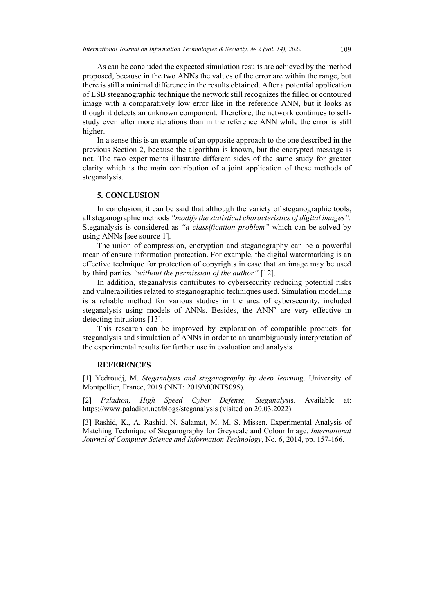As can be concluded the expected simulation results are achieved by the method proposed, because in the two ANNs the values of the error are within the range, but there is still a minimal difference in the results obtained. Аfter а potential application of LSB steganographic technique the network still recognizes the filled or contoured image with a comparatively low error like in the reference ANN, but it looks as though it detects an unknown component. Therefore, the network continues to selfstudy even after more iterations than in the reference ANN while the error is still higher.

In a sense this is an example of an opposite approach to the one described in the previous Section 2, because the algorithm is known, but the encrypted message is not. Тhe two experiments illustrate different sides of the same study for greater clarity which is the main contribution of a joint application of these methods of steganalysis.

### **5. CONCLUSION**

In conclusion, it can be said that although the variety of steganographic tools, all steganographic methods *"modify the statistical characteristics of digital images".* Steganalysis is considered as *"a classification problem"* which can be solved by using ANNs [see source 1].

The union of compression, encryption and steganography can be a powerful mean of ensure information protection. For example, the digital watermarking is an effective technique for protection of copyrights in case that an image may be used by third parties *"without the permission of the author"* [12].

In addition, steganalysis contributes to cybersecurity reducing potential risks and vulnerabilities related to steganographic techniques used. Simulation modelling is a reliable method for various studies in the area of cybersecurity, included steganalysis using models of ANNs. Besides, the ANN' are very effective in detecting intrusions [13].

This research can be improved by exploration of compatible products for steganalysis and simulation of ANNs in order to an unambiguously interpretation of the experimental results for further use in evaluation and analysis.

#### **REFERENCES**

[1] Yedroudj, M. *Steganalysis and steganography by deep learning*. University of Montpellier, France, 2019 (NNT: 2019MONTS095).

[2] *Paladion, High Speed Cyber Defense, Steganalysi*s. Available at: <https://www.paladion.net/blogs/steganalysis> (visited on 20.03.2022).

[3] Rashid, K., A. Rashid, N. Salamat, M. M. S. Missen. Experimental Analysis of Matching Technique of Steganography for Greyscale and Colour Image, *International Journal of Computer Science and Information Technology*, No. 6, 2014, pp. 157-166.